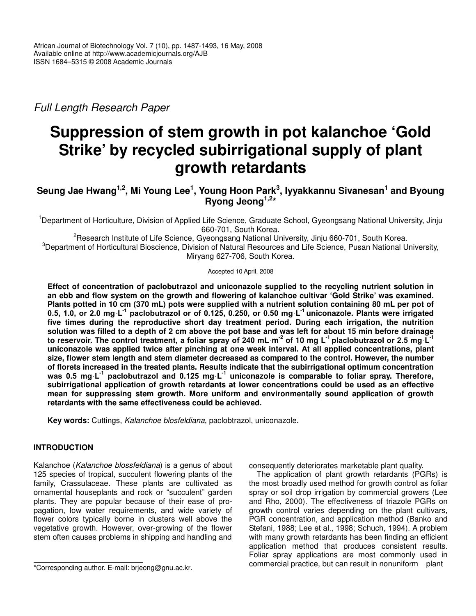*Full Length Research Paper*

# **Suppression of stem growth in pot kalanchoe 'Gold Strike' by recycled subirrigational supply of plant growth retardants**

Seung Jae Hwang<sup>1,2</sup>, Mi Young Lee<sup>1</sup>, Young Hoon Park<sup>3</sup>, Iyyakkannu Sivanesan<sup>1</sup> and Byoung **Ryong Jeong 1,2 \***

<sup>1</sup>Department of Horticulture, Division of Applied Life Science, Graduate School, Gyeongsang National University, Jinju 660-701, South Korea.

<sup>2</sup>Research Institute of Life Science, Gyeongsang National University, Jinju 660-701, South Korea. <sup>3</sup>Department of Horticultural Bioscience, Division of Natural Resources and Life Science, Pusan National University, Miryang 627-706, South Korea.

Accepted 10 April, 2008

**Effect of concentration of paclobutrazol and uniconazole supplied to the recycling nutrient solution in an ebb and flow system on the growth and flowering of kalanchoe cultivar 'Gold Strike' was examined.** Plants potted in 10 cm (370 mL) pots were supplied with a nutrient solution containing 80 mL per pot of 0.5, 1.0, or 2.0 mg L<sup>-1</sup> paclobutrazol or of 0.125, 0.250, or 0.50 mg L<sup>-1</sup> uniconazole. Plants were irrigated **five times during the reproductive short day treatment period. During each irrigation, the nutrition** solution was filled to a depth of 2 cm above the pot base and was left for about 15 min before drainage to reservoir. The control treatment, a foliar spray of 240 mL m<sup>-2</sup> of 10 mg L<sup>-1</sup> placlobutrazol or 2.5 mg L<sup>-1</sup> **uniconazole was applied twice after pinching at one week interval. At all applied concentrations, plant size, flower stem length and stem diameter decreased as compared to the control. However, the number of florets increased in the treated plants. Results indicate that the subirrigational optimum concentration** was 0.5 mg L<sup>-1</sup> paclobutrazol and 0.125 mg L<sup>-1</sup> uniconazole is comparable to foliar spray. Therefore, **subirrigational application of growth retardants at lower concentrations could be used as an effective mean for suppressing stem growth. More uniform and environmentally sound application of growth retardants with the same effectiveness could be achieved.**

**Key words:** Cuttings, *Kalanchoe blosfeldiana*, paclobtrazol, uniconazole.

## **INTRODUCTION**

Kalanchoe (*Kalanchoe blossfeldiana*) is a genus of about 125 species of tropical, succulent flowering plants of the family, Crassulaceae. These plants are cultivated as ornamental houseplants and rock or "succulent" garden plants. They are popular because of their ease of propagation, low water requirements, and wide variety of flower colors typically borne in clusters well above the vegetative growth. However, over-growing of the flower stem often causes problems in shipping and handling and

consequently deteriorates marketable plant quality.

The application of plant growth retardants (PGRs) is the most broadly used method for growth control as foliar spray or soil drop irrigation by commercial growers (Lee and Rho, 2000). The effectiveness of triazole PGRs on growth control varies depending on the plant cultivars, PGR concentration, and application method (Banko and Stefani, 1988; Lee et al., 1998; Schuch, 1994). A problem with many growth retardants has been finding an efficient application method that produces consistent results. Foliar spray applications are most commonly used in commercial practice, but can result in nonuniform plant

<sup>\*</sup>Corresponding author. E-mail: brjeong@gnu.ac.kr.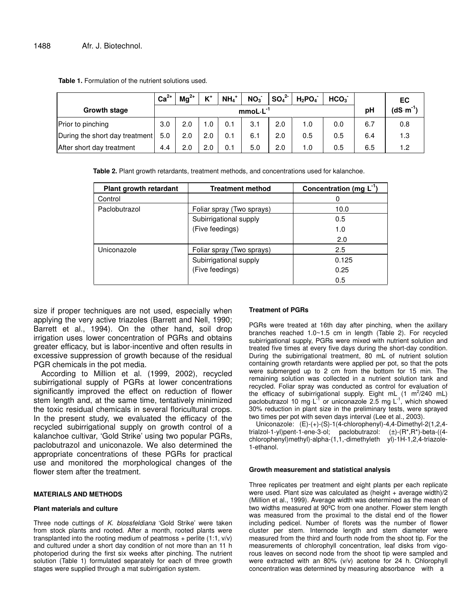|                                | $Ca2+$ | $Ma^{2+}$ | $K^+$ | $NH_4$ <sup>+</sup> | NO <sub>3</sub> | $SO_4^2$ | $H_2PO_4$ | HCO <sub>3</sub> |     | ЕC         |
|--------------------------------|--------|-----------|-------|---------------------|-----------------|----------|-----------|------------------|-----|------------|
| Growth stage                   |        |           |       |                     | $mmol·L-1$      |          |           |                  | pH  | $(dS·m-1)$ |
| Prior to pinching              | 3.0    | 2.0       | .0    | 0.1                 | 3.1             | 2.0      | 1.0       | 0.0              | 6.7 | 0.8        |
| During the short day treatment | 5.0    | 2.0       | 2.0   | 0.1                 | 6.1             | 2.0      | 0.5       | 0.5              | 6.4 | 1.3        |
| After short day treatment      | 4.4    | 2.0       | 2.0   | 0.1                 | 5.0             | 2.0      | 1.0       | 0.5              | 6.5 | 1.2        |

**Table 1.** Formulation of the nutrient solutions used.

**Table 2.** Plant growth retardants, treatment methods, and concentrations used for kalanchoe.

| Plant growth retardant | <b>Treatment method</b>   | Concentration (mg $L^{-1}$ ) |
|------------------------|---------------------------|------------------------------|
| Control                |                           | 0                            |
| Paclobutrazol          | Foliar spray (Two sprays) | 10.0                         |
|                        | Subirrigational supply    | 0.5                          |
|                        | (Five feedings)           | 1.0                          |
|                        |                           | 2.0                          |
| Uniconazole            | Foliar spray (Two sprays) | 2.5                          |
|                        | Subirrigational supply    | 0.125                        |
|                        | (Five feedings)           | 0.25                         |
|                        |                           | 0.5                          |

size if proper techniques are not used, especially when applying the very active triazoles (Barrett and Nell, 1990; Barrett et al., 1994). On the other hand, soil drop irrigation uses lower concentration of PGRs and obtains greater efficacy, but is labor-incentive and often results in excessive suppression of growth because of the residual PGR chemicals in the pot media.

According to Million et al. (1999, 2002), recycled subirrigational supply of PGRs at lower concentrations significantly improved the effect on reduction of flower stem length and, at the same time, tentatively minimized the toxic residual chemicals in several floricultural crops. In the present study, we evaluated the efficacy of the recycled subirrigational supply on growth control of a kalanchoe cultivar, 'Gold Strike' using two popular PGRs, paclobutrazol and uniconazole. We also determined the appropriate concentrations of these PGRs for practical use and monitored the morphological changes of the flower stem after the treatment.

#### **MATERIALS AND METHODS**

#### **Plant materials and culture**

Three node cuttings of *K. blossfeldiana* 'Gold Strike' were taken from stock plants and rooted. After a month, rooted plants were transplanted into the rooting medium of peatmoss  $+$  perlite (1:1,  $v/v$ ) and cultured under a short day condition of not more than an 11 h photoperiod during the first six weeks after pinching. The nutrient solution (Table 1) formulated separately for each of three growth stages were supplied through a mat subirrigation system.

### **Treatment of PGRs**

PGRs were treated at 16th day after pinching, when the axillary branches reached 1.0~1.5 cm in length (Table 2). For recycled subirrigational supply, PGRs were mixed with nutrient solution and treated five times at every five days during the short-day condition. During the subirrigational treatment, 80 mL of nutrient solution containing growth retardants were applied per pot, so that the pots were submerged up to 2 cm from the bottom for 15 min. The remaining solution was collected in a nutrient solution tank and recycled. Foliar spray was conducted as control for evaluation of the efficacy of subirrigational supply. Eight mL  $(1 \text{ m}^2/240 \text{ mL})$ paclobutrazol 10 mg L<sup>-1</sup> or uniconazole 2.5 mg L<sup>-1</sup>, which showed 30% reduction in plant size in the preliminary tests, were sprayed two times per pot with seven days interval (Lee et al., 2003).

Uniconazole: (E)-(+)-(S)-1(4-chlorophenyl)-4,4-Dimethyl-2(1,2,4 trialzol-1-yl)pent-1-ene-3-ol; paclobutrazol: (±)-(R\*,R\*)-beta-((4 chlorophenyl)methyl)-alpha-(1,1,-dimethyleth yl)-1H-1,2,4-triazole-1-ethanol.

## **Growth measurement and statistical analysis**

Three replicates per treatment and eight plants per each replicate were used. Plant size was calculated as (height + average width)/2 (Million et al., 1999). Average width was determined as the mean of two widths measured at 90ºC from one another. Flower stem length was measured from the proximal to the distal end of the flower including pedicel. Number of florets was the number of flower cluster per stem. Internode length and stem diameter were measured from the third and fourth node from the shoot tip. For the measurements of chlorophyll concentration, leaf disks from vigorous leaves on second node from the shoot tip were sampled and were extracted with an 80% (v/v) acetone for 24 h. Chlorophyll concentration was determined by measuring absorbance with a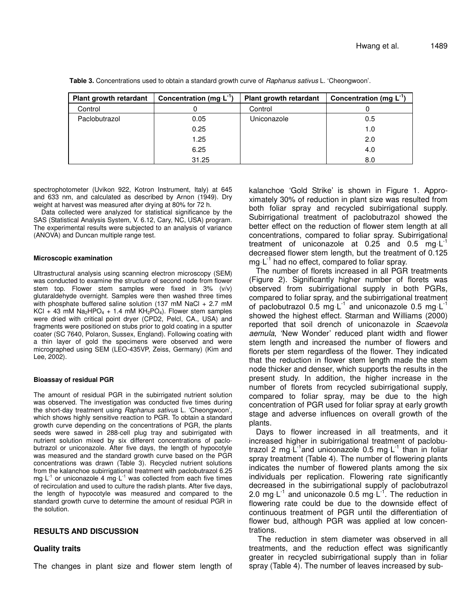| Plant growth retardant | Concentration $(mg L^{-1})$ | Plant growth retardant | Concentration (mg $L^{-1}$ ) |
|------------------------|-----------------------------|------------------------|------------------------------|
| Control                |                             | Control                |                              |
| Paclobutrazol          | 0.05                        | Uniconazole            | 0.5                          |
|                        | 0.25                        |                        | 1.0                          |
|                        | 1.25                        |                        | 2.0                          |
|                        | 6.25                        |                        | 4.0                          |
|                        | 31.25                       |                        | 8.0                          |

**Table 3.** Concentrations used to obtain a standard growth curve of *Raphanus sativus* L. 'Cheongwoon'.

spectrophotometer (Uvikon 922, Kotron Instrument, Italy) at 645 and 633 nm, and calculated as described by Arnon (1949). Dry weight at harvest was measured after drying at 80% for 72 h.

Data collected were analyzed for statistical significance by the SAS (Statistical Analysis System, V. 6.12, Cary, NC, USA) program. The experimental results were subjected to an analysis of variance (ANOVA) and Duncan multiple range test.

#### **Microscopic examination**

Ultrastructural analysis using scanning electron microscopy (SEM) was conducted to examine the structure of second node from flower stem top. Flower stem samples were fixed in 3% (v/v) glutaraldehyde overnight. Samples were then washed three times with phosphate buffered saline solution (137 mM NaCl  $+ 2.7$  mM KCl + 43 mM Na<sub>2</sub>HPO<sub>4</sub> + 1.4 mM KH<sub>2</sub>PO<sub>4</sub>). Flower stem samples were dried with critical point dryer (CPD2, Pelcl, CA., USA) and fragments were positioned on stubs prior to gold coating in a sputter coater (SC 7640, Polaron, Sussex, England). Following coating with a thin layer of gold the specimens were observed and were micrographed using SEM (LEO-435VP, Zeiss, Germany) (Kim and Lee, 2002).

### **Bioassay of residual PGR**

The amount of residual PGR in the subirrigated nutrient solution was observed. The investigation was conducted five times during the short-day treatment using *Raphanus sativus* L. 'Cheongwoon', which shows highly sensitive reaction to PGR. To obtain a standard growth curve depending on the concentrations of PGR, the plants seeds were sawed in 288-cell plug tray and subirrigated with nutrient solution mixed by six different concentrations of paclobutrazol or uniconazole. After five days, the length of hypocotyle was measured and the standard growth curve based on the PGR concentrations was drawn (Table 3). Recycled nutrient solutions from the kalanchoe subirrigational treatment with paclobutrazol 6.25 mg  $L^{-1}$  or uniconazole 4 mg  $L^{-1}$  was collected from each five times of recirculation and used to culture the radish plants. After five days, the length of hypocotyle was measured and compared to the standard growth curve to determine the amount of residual PGR in the solution.

### **RESULTS AND DISCUSSION**

### **Quality traits**

The changes in plant size and flower stem length of

kalanchoe 'Gold Strike' is shown in Figure 1. Approximately 30% of reduction in plant size was resulted from both foliar spray and recycled subirrigational supply. Subirrigational treatment of paclobutrazol showed the better effect on the reduction of flower stem length at all concentrations, compared to foliar spray. Subirrigational treatment of uniconazole at 0.25 and 0.5 mg  $L^{-1}$ decreased flower stem length, but the treatment of 0.125 mg L<sup>-1</sup> had no effect, compared to foliar spray.

The number of florets increased in all PGR treatments (Figure 2). Significantly higher number of florets was observed from subirrigational supply in both PGRs, compared to foliar spray, and the subirrigational treatment of paclobutrazol 0.5 mg L<sup>-1</sup> and uniconazole 0.5 mg L<sup>-1</sup> showed the highest effect. Starman and Williams (2000) reported that soil drench of uniconazole in *Scaevola aemula*, 'New Wonder' reduced plant width and flower stem length and increased the number of flowers and florets per stem regardless of the flower. They indicated that the reduction in flower stem length made the stem node thicker and denser, which supports the results in the present study. In addition, the higher increase in the number of florets from recycled subirrigational supply, compared to foliar spray, may be due to the high concentration of PGR used for foliar spray at early growth stage and adverse influences on overall growth of the plants.

Days to flower increased in all treatments, and it increased higher in subirrigational treatment of paclobutrazol 2 mg L<sup>-1</sup>and uniconazole 0.5 mg L<sup>-1</sup> than in foliar spray treatment (Table 4). The number of flowering plants indicates the number of flowered plants among the six individuals per replication. Flowering rate significantly decreased in the subirrigational supply of paclobutrazol 2.0 mg  $L^{-1}$  and uniconazole 0.5 mg  $L^{-1}$ . The reduction in flowering rate could be due to the downside effect of continuous treatment of PGR until the differentiation of flower bud, although PGR was applied at low concentrations.

The reduction in stem diameter was observed in all treatments, and the reduction effect was significantly greater in recycled subirrigational supply than in foliar spray (Table 4). The number of leaves increased by sub-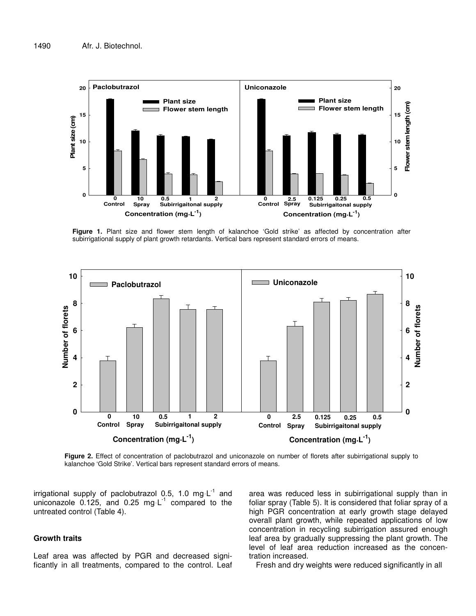

**Figure 1.** Plant size and flower stem length of kalanchoe 'Gold strike' as affected by concentration after subirrigational supply of plant growth retardants. Vertical bars represent standard errors of means.



**Figure 2.** Effect of concentration of paclobutrazol and uniconazole on number of florets after subirrigational supply to kalanchoe 'Gold Strike'. Vertical bars represent standard errors of means.

irrigational supply of paclobutrazol 0.5, 1.0 mg L<sup>-1</sup> and uniconazole  $0.125$ , and 0.25 mg L<sup>-1</sup> compared to the untreated control (Table 4).

## **Growth traits**

Leaf area was affected by PGR and decreased significantly in all treatments, compared to the control. Leaf area was reduced less in subirrigational supply than in foliar spray (Table 5). It is considered that foliar spray of a high PGR concentration at early growth stage delayed overall plant growth, while repeated applications of low concentration in recycling subirrigation assured enough leaf area by gradually suppressing the plant growth. The level of leaf area reduction increased as the concentration increased.

Fresh and dry weights were reduced significantly in all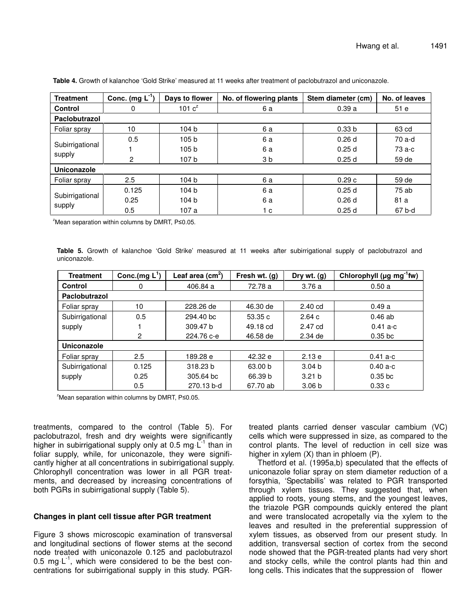| <b>Treatment</b> | Conc. (mg $L^{-1}$ ) | Days to flower   | No. of flowering plants | Stem diameter (cm) | No. of leaves |
|------------------|----------------------|------------------|-------------------------|--------------------|---------------|
| Control          | 0                    | 101 $c^z$        | 6 a                     | 0.39a              | 51e           |
| Paclobutrazol    |                      |                  |                         |                    |               |
| Foliar spray     | 10                   | 104 b            | 6 a                     | 0.33 <sub>b</sub>  | 63 cd         |
|                  | 0.5                  | 105 b            | 6 a                     | 0.26d              | 70 a-d        |
| Subirrigational  |                      | 105 <sub>b</sub> | 6а                      | 0.25d              | 73 a-c        |
| supply           | $\overline{2}$       | 107 b            | 3 <sub>b</sub>          | 0.25d              | 59 de         |
| Uniconazole      |                      |                  |                         |                    |               |
| Foliar spray     | 2.5                  | 104 b            | 6а                      | 0.29c              | 59 de         |
|                  | 0.125                | 104 <sub>b</sub> | 6а                      | 0.25d              | 75ab          |
| Subirrigational  | 0.25                 | 104 <sub>b</sub> | 6a                      | 0.26d              | 81 a          |
| supply           | 0.5                  | 107 a            | 1 c                     | 0.25d              | 67 b-d        |

**Table 4.** Growth of kalanchoe 'Gold Strike' measured at 11 weeks after treatment of paclobutrazol and uniconazole.

 $2^2$ Mean separation within columns by DMRT, P $\leq$ 0.05.

**Table 5.** Growth of kalanchoe 'Gold Strike' measured at 11 weeks after subirrigational supply of paclobutrazol and uniconazole.

| <b>Treatment</b> | Conc.(mg $\cdot L$ <sup>1</sup> ) | Leaf area $(cm2)$   | Fresh wt. (g) | Dry wt. (g)       | Chlorophyll (µg mg <sup>-1</sup> fw) |
|------------------|-----------------------------------|---------------------|---------------|-------------------|--------------------------------------|
| Control          | 0                                 | 406.84 a            | 72.78 a       | 3.76a             | 0.50a                                |
| Paclobutrazol    |                                   |                     |               |                   |                                      |
| Foliar spray     | 10                                | 228.26 de           | 46.30 de      | $2.40$ cd         | 0.49a                                |
| Subirrigational  | 0.5                               | 294.40 bc           | 53.35c        | 2.64c             | 0.46ab                               |
| supply           |                                   | 309.47 <sub>b</sub> | 49.18 cd      | $2.47$ cd         | $0.41 a-c$                           |
|                  | $\overline{2}$                    | 224.76 с-е          | 46.58 de      | $2.34$ de         | $0.35$ bc                            |
| Uniconazole      |                                   |                     |               |                   |                                      |
| Foliar spray     | 2.5                               | 189.28 e            | 42.32 e       | 2.13e             | $0.41 a-c$                           |
| Subirrigational  | 0.125                             | 318.23 b            | 63.00 b       | 3.04 <sub>b</sub> | $0.40a-c$                            |
| supply           | 0.25                              | 305.64 bc           | 66.39 b       | 3.21 <sub>b</sub> | $0.35$ bc                            |
|                  | 0.5                               | 270.13 b-d          | 67.70 ab      | 3.06 <sub>b</sub> | 0.33c                                |

 $2^2$ Mean separation within columns by DMRT, P $\leq$ 0.05.

treatments, compared to the control (Table 5). For paclobutrazol, fresh and dry weights were significantly higher in subirrigational supply only at 0.5 mg L<sup>-1</sup> than in foliar supply, while, for uniconazole, they were significantly higher at all concentrations in subirrigational supply. Chlorophyll concentration was lower in all PGR treatments, and decreased by increasing concentrations of both PGRs in subirrigational supply (Table 5).

### **Changes in plant cell tissue after PGR treatment**

Figure 3 shows microscopic examination of transversal and longitudinal sections of flower stems at the second node treated with uniconazole 0.125 and paclobutrazol 0.5 mg  $L^{-1}$ , which were considered to be the best concentrations for subirrigational supply in this study. PGR- treated plants carried denser vascular cambium (VC) cells which were suppressed in size, as compared to the control plants. The level of reduction in cell size was higher in xylem (X) than in phloem (P).

Thetford et al. (1995a,b) speculated that the effects of uniconazole foliar spray on stem diameter reduction of a forsythia, 'Spectabilis' was related to PGR transported through xylem tissues. They suggested that, when applied to roots, young stems, and the youngest leaves, the triazole PGR compounds quickly entered the plant and were translocated acropetally via the xylem to the leaves and resulted in the preferential suppression of xylem tissues, as observed from our present study. In addition, transversal section of cortex from the second node showed that the PGR-treated plants had very short and stocky cells, while the control plants had thin and long cells. This indicates that the suppression of flower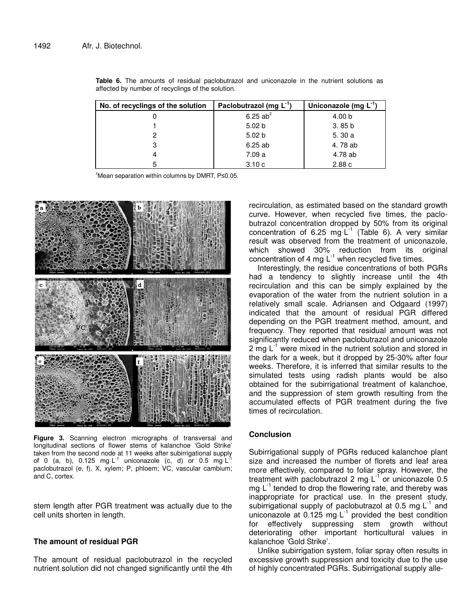| No. of recyclings of the solution | Paclobutrazol (mg L <sup>-1</sup> ) | Uniconazole (mg L" |
|-----------------------------------|-------------------------------------|--------------------|
|                                   | 6.25 $ab^z$                         | 4.00 b             |
|                                   | 5.02 <sub>b</sub>                   | 3.85 <sub>b</sub>  |
| 2                                 | 5.02 <sub>b</sub>                   | 5.30a              |
| 3                                 | 6.25ab                              | 4.78 ab            |
|                                   | 7.09 a                              | 4.78 ab            |
| 5                                 | 3.10c                               | 2.88c              |

**Table 6.** The amounts of residual paclobutrazol and uniconazole in the nutrient solutions as affected by number of recyclings of the solution.

 $z$ Mean separation within columns by DMRT, P $\leq$ 0.05.



**Figure 3.** Scanning electron micrographs of transversal and longitudinal sections of flower stems of kalanchoe 'Gold Strike' taken from the second node at 11 weeks after subirrigational supply of 0 (a, b), 0.125 mg·L<sup>-1</sup> uniconazole (c, d) or 0.5 mg·L<sup>-1</sup> paclobutrazol (e, f). X, xylem; P, phloem; VC, vascular cambium; and C, cortex.

stem length after PGR treatment was actually due to the cell units shorten in length.

## **The amount of residual PGR**

The amount of residual paclobutrazol in the recycled nutrient solution did not changed significantly until the 4th

recirculation, as estimated based on the standard growth curve. However, when recycled five times, the paclobutrazol concentration dropped by 50% from its original concentration of 6.25 mg  $L^{-1}$  (Table 6). A very similar result was observed from the treatment of uniconazole, which showed 30% reduction from its original concentration of 4 mg $\cdot$ L<sup>-1</sup> when recycled five times.

Interestingly, the residue concentrations of both PGRs had a tendency to slightly increase until the 4th recirculation and this can be simply explained by the evaporation of the water from the nutrient solution in a relatively small scale. Adriansen and Odgaard (1997) indicated that the amount of residual PGR differed depending on the PGR treatment method, amount, and frequency. They reported that residual amount was not significantly reduced when paclobutrazol and uniconazole 2 mg  $L^{-1}$  were mixed in the nutrient solution and stored in the dark for a week, but it dropped by 25-30% after four weeks. Therefore, it is inferred that similar results to the simulated tests using radish plants would be also obtained for the subirrigational treatment of kalanchoe, and the suppression of stem growth resulting from the accumulated effects of PGR treatment during the five times of recirculation.

## **Conclusion**

Subirrigational supply of PGRs reduced kalanchoe plant size and increased the number of florets and leaf area more effectively, compared to foliar spray. However, the treatment with paclobutrazol 2 mg L<sup>-1</sup> or uniconazole 0.5 mg  $L^{-1}$  tended to drop the flowering rate, and thereby was inappropriate for practical use. In the present study, subirrigational supply of paclobutrazol at 0.5 mg L<sup>1</sup> and uniconazole at  $0.125$  mg  $L^{-1}$  provided the best condition for effectively suppressing stem growth without deteriorating other important horticultural values in kalanchoe 'Gold Strike'.

Unlike subirrigation system, foliar spray often results in excessive growth suppression and toxicity due to the use of highly concentrated PGRs. Subirrigational supply alle